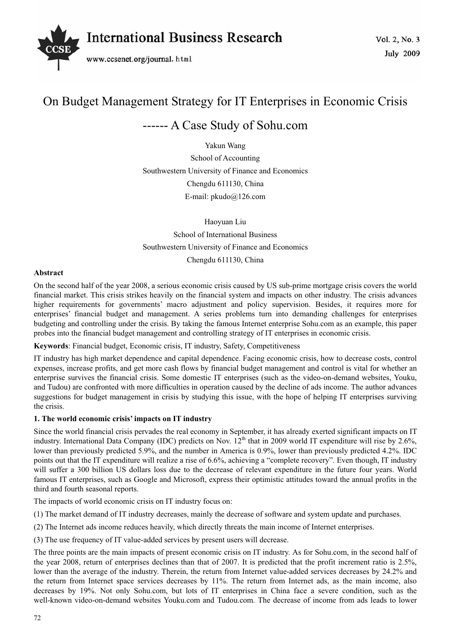

# On Budget Management Strategy for IT Enterprises in Economic Crisis

## ------ A Case Study of Sohu.com

Yakun Wang School of Accounting Southwestern University of Finance and Economics Chengdu 611130, China E-mail: pkudo@126.com

Haoyuan Liu School of International Business Southwestern University of Finance and Economics Chengdu 611130, China

## **Abstract**

On the second half of the year 2008, a serious economic crisis caused by US sub-prime mortgage crisis covers the world financial market. This crisis strikes heavily on the financial system and impacts on other industry. The crisis advances higher requirements for governments' macro adjustment and policy supervision. Besides, it requires more for enterprises' financial budget and management. A series problems turn into demanding challenges for enterprises budgeting and controlling under the crisis. By taking the famous Internet enterprise Sohu.com as an example, this paper probes into the financial budget management and controlling strategy of IT enterprises in economic crisis.

## **Keywords**: Financial budget, Economic crisis, IT industry, Safety, Competitiveness

IT industry has high market dependence and capital dependence. Facing economic crisis, how to decrease costs, control expenses, increase profits, and get more cash flows by financial budget management and control is vital for whether an enterprise survives the financial crisis. Some domestic IT enterprises (such as the video-on-demand websites, Youku, and Tudou) are confronted with more difficulties in operation caused by the decline of ads income. The author advances suggestions for budget management in crisis by studying this issue, with the hope of helping IT enterprises surviving the crisis.

#### **1. The world economic crisis' impacts on IT industry**

Since the world financial crisis pervades the real economy in September, it has already exerted significant impacts on IT industry. International Data Company (IDC) predicts on Nov. 12<sup>th</sup> that in 2009 world IT expenditure will rise by 2.6%, lower than previously predicted 5.9%, and the number in America is 0.9%, lower than previously predicted 4.2%. IDC points out that the IT expenditure will realize a rise of 6.6%, achieving a "complete recovery". Even though, IT industry will suffer a 300 billion US dollars loss due to the decrease of relevant expenditure in the future four years. World famous IT enterprises, such as Google and Microsoft, express their optimistic attitudes toward the annual profits in the third and fourth seasonal reports.

The impacts of world economic crisis on IT industry focus on:

(1) The market demand of IT industry decreases, mainly the decrease of software and system update and purchases.

(2) The Internet ads income reduces heavily, which directly threats the main income of Internet enterprises.

(3) The use frequency of IT value-added services by present users will decrease.

The three points are the main impacts of present economic crisis on IT industry. As for Sohu.com, in the second half of the year 2008, return of enterprises declines than that of 2007. It is predicted that the profit increment ratio is 2.5%, lower than the average of the industry. Therein, the return from Internet value-added services decreases by 24.2% and the return from Internet space services decreases by 11%. The return from Internet ads, as the main income, also decreases by 19%. Not only Sohu.com, but lots of IT enterprises in China face a severe condition, such as the well-known video-on-demand websites Youku.com and Tudou.com. The decrease of income from ads leads to lower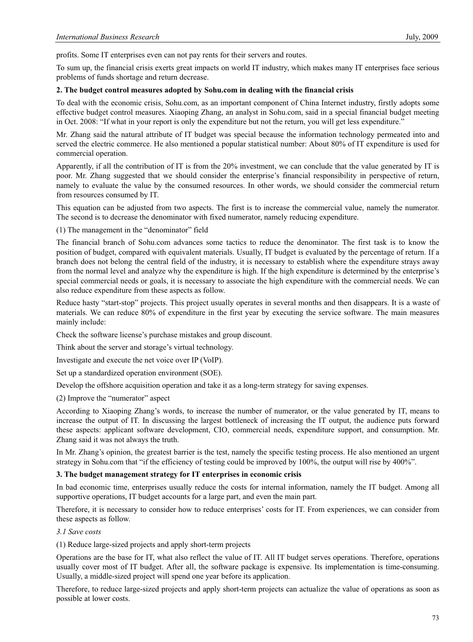profits. Some IT enterprises even can not pay rents for their servers and routes.

To sum up, the financial crisis exerts great impacts on world IT industry, which makes many IT enterprises face serious problems of funds shortage and return decrease.

#### **2. The budget control measures adopted by Sohu.com in dealing with the financial crisis**

To deal with the economic crisis, Sohu.com, as an important component of China Internet industry, firstly adopts some effective budget control measures. Xiaoping Zhang, an analyst in Sohu.com, said in a special financial budget meeting in Oct. 2008: "If what in your report is only the expenditure but not the return, you will get less expenditure."

Mr. Zhang said the natural attribute of IT budget was special because the information technology permeated into and served the electric commerce. He also mentioned a popular statistical number: About 80% of IT expenditure is used for commercial operation.

Apparently, if all the contribution of IT is from the 20% investment, we can conclude that the value generated by IT is poor. Mr. Zhang suggested that we should consider the enterprise's financial responsibility in perspective of return, namely to evaluate the value by the consumed resources. In other words, we should consider the commercial return from resources consumed by IT.

This equation can be adjusted from two aspects. The first is to increase the commercial value, namely the numerator. The second is to decrease the denominator with fixed numerator, namely reducing expenditure.

(1) The management in the "denominator" field

The financial branch of Sohu.com advances some tactics to reduce the denominator. The first task is to know the position of budget, compared with equivalent materials. Usually, IT budget is evaluated by the percentage of return. If a branch does not belong the central field of the industry, it is necessary to establish where the expenditure strays away from the normal level and analyze why the expenditure is high. If the high expenditure is determined by the enterprise's special commercial needs or goals, it is necessary to associate the high expenditure with the commercial needs. We can also reduce expenditure from these aspects as follow.

Reduce hasty "start-stop" projects. This project usually operates in several months and then disappears. It is a waste of materials. We can reduce 80% of expenditure in the first year by executing the service software. The main measures mainly include:

Check the software license's purchase mistakes and group discount.

Think about the server and storage's virtual technology.

Investigate and execute the net voice over IP (VoIP).

Set up a standardized operation environment (SOE).

Develop the offshore acquisition operation and take it as a long-term strategy for saving expenses.

(2) Improve the "numerator" aspect

According to Xiaoping Zhang's words, to increase the number of numerator, or the value generated by IT, means to increase the output of IT. In discussing the largest bottleneck of increasing the IT output, the audience puts forward these aspects: applicant software development, CIO, commercial needs, expenditure support, and consumption. Mr. Zhang said it was not always the truth.

In Mr. Zhang's opinion, the greatest barrier is the test, namely the specific testing process. He also mentioned an urgent strategy in Sohu.com that "if the efficiency of testing could be improved by 100%, the output will rise by 400%".

#### **3. The budget management strategy for IT enterprises in economic crisis**

In bad economic time, enterprises usually reduce the costs for internal information, namely the IT budget. Among all supportive operations, IT budget accounts for a large part, and even the main part.

Therefore, it is necessary to consider how to reduce enterprises' costs for IT. From experiences, we can consider from these aspects as follow.

#### *3.1 Save costs*

(1) Reduce large-sized projects and apply short-term projects

Operations are the base for IT, what also reflect the value of IT. All IT budget serves operations. Therefore, operations usually cover most of IT budget. After all, the software package is expensive. Its implementation is time-consuming. Usually, a middle-sized project will spend one year before its application.

Therefore, to reduce large-sized projects and apply short-term projects can actualize the value of operations as soon as possible at lower costs.